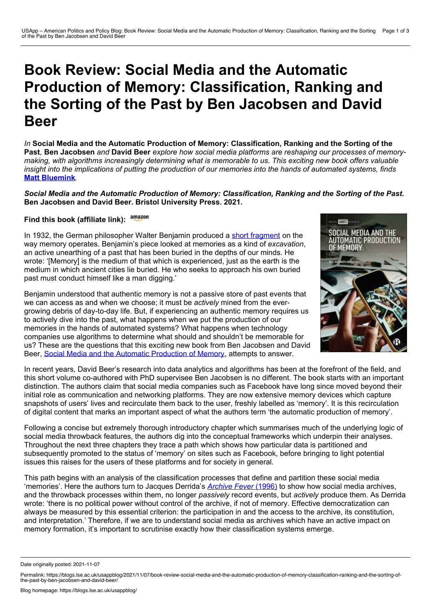# **Book Review: Social Media and the Automatic Production of Memory: Classification, Ranking and the Sorting of the Past by Ben Jacobsen and David Beer**

*In* **Social Media and the Automatic Production of Memory: Classification, Ranking and the Sorting of the** Past, Ben Jacobsen and David Beer explore how social media platforms are reshaping our processes of memory*making, with algorithms increasingly determining what is memorable to us. This exciting new book offers valuable* insight into the implications of putting the production of our memories into the hands of automated systems, finds **Matt [Bluemink](https://wp.me/p3I2YF-bhm#Author)***.*

*Social Media and the Automatic Production of Memory: Classification, Ranking and the Sorting of the Past***. Ben Jacobsen and David Beer. Bristol University Press. 2021.**

## **Find this book (affiliate link):**

In 1932, the German philosopher Walter Benjamin produced a short [fragment](https://folk.uib.no/hlils/TBLR-B/Benjamin-ExcavMem.pdf) on the way memory operates. Benjamin's piece looked at memories as a kind of *excavation*, an active unearthing of a past that has been buried in the depths of our minds. He wrote: '[Memory] is the medium of that which is experienced, just as the earth is the medium in which ancient cities lie buried. He who seeks to approach his own buried past must conduct himself like a man digging.'

Benjamin understood that authentic memory is not a passive store of past events that we can access as and when we choose; it must be *actively* mined from the ever growing debris of day-to-day life. But, if experiencing an authentic memory requires us to actively dive into the past, what happens when we put the production of our memories in the hands of automated systems? What happens when technology companies use algorithms to determine what should and shouldn't be memorable for us? These are the questions that this exciting new book from Ben Jacobsen and David Beer, Social Media and the Automatic [Production](https://bristoluniversitypress.co.uk/social-media-and-the-automatic-production-of-memory) of Memory, attempts to answer.



Following a concise but extremely thorough introductory chapter which summarises much of the underlying logic of social media throwback features, the authors dig into the conceptual frameworks which underpin their analyses. Throughout the next three chapters they trace a path which shows how particular data is partitioned and subsequently promoted to the status of 'memory' on sites such as Facebook, before bringing to light potential issues this raises for the users of these platforms and for society in general.

This path begins with an analysis of the classification processes that define and partition these social media 'memories'. Here the authors turn to Jacques Derrida's *[Archive](https://press.uchicago.edu/ucp/books/book/chicago/A/bo27619045.html) Fever* [\(1996\)](https://press.uchicago.edu/ucp/books/book/chicago/A/bo27619045.html) to show how social media archives, and the throwback processes within them, no longer *passively* record events, but *actively* produce them. As Derrida wrote: 'there is no political power without control of the archive, if not of memory. Effective democratization can always be measured by this essential criterion: the participation in and the access to the archive, its constitution, and interpretation.' Therefore, if we are to understand social media as archives which have an active impact on memory formation, it's important to scrutinise exactly how their classification systems emerge.



Date originally posted: 2021-11-07

Permalink: https://blogs.lse.ac.uk/usappblog/2021/11/07/book-review-social-media-and-the-automatic-production-of-memory-classification-ranking-and-the-sorting-of-the-past-by-ben-jacobsen-and-david-beer/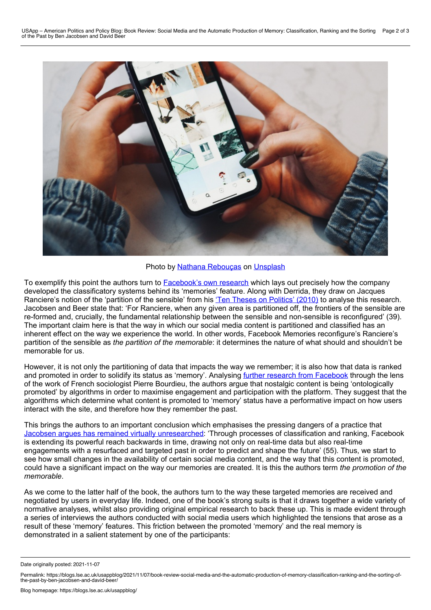

Photo by Nathana [Rebouças](https://unsplash.com/@nathanareboucas?utm_source=unsplash&utm_medium=referral&utm_content=creditCopyText) on [Unsplash](https://unsplash.com/?utm_source=unsplash&utm_medium=referral&utm_content=creditCopyText)

To exemplify this point the authors turn to **[Facebook's](https://research.fb.com/blog/2017/09/facebook-memories-the-research-behind-the-products-that-connect-you-with-your-past/) own research which lays out precisely** how the company developed the classificatory systems behind its 'memories' feature. Along with Derrida, they draw on Jacques Ranciere's notion of the 'partition of the sensible' from his 'Ten Theses on [Politics'](https://www.bloomsbury.com/uk/dissensus-9781441119414/) (2010) to analyse this research. Jacobsen and Beer state that: 'For Ranciere, when any given area is partitioned off, the frontiers of the sensible are re-formed and, crucially, the fundamental relationship between the sensible and non-sensible is reconfigured' (39). The important claim here is that the way in which our social media content is partitioned and classified has an inherent effect on the way we experience the world. In other words, Facebook Memories reconfigure's Ranciere's partition of the sensible as *the partition of the memorable*: it determines the nature of what should and shouldn't be memorable for us.

However, it is not only the partitioning of data that impacts the way we remember; it is also how that data is ranked and promoted in order to solidify its status as 'memory'. Analysing further research from [Facebook](https://research.fb.com/blog/2016/03/engineering-for-nostalgia-building-a-personalized-on-this-day-experience/https:/research.fb.com/blog/2016/03/engineering-for-nostalgia-building-a-personalized-on-this-day-experience/) through the lens of the work of French sociologist Pierre Bourdieu, the authors argue that nostalgic content is being 'ontologically promoted' by algorithms in order to maximise engagement and participation with the platform. They suggest that the algorithms which determine what content is promoted to 'memory' status have a performative impact on how users interact with the site, and therefore how they remember the past.

This brings the authors to an important conclusion which emphasises the pressing dangers of a practice that Jacobsen argues has remained virtually [unresearched](https://www.york.ac.uk/sociology/our-staff/students/benjamin-jacobsen/#publications-content): 'Through processes of classification and ranking, Facebook is extending its powerful reach backwards in time, drawing not only on real-time data but also real-time engagements with a resurfaced and targeted past in order to predict and shape the future' (55). Thus, we start to see how small changes in the availability of certain social media content, and the way that this content is promoted, could have a significant impact on the way our memories are created. It is this the authors term *the promotion of the memorable*.

As we come to the latter half of the book, the authors turn to the way these targeted memories are received and negotiated by users in everyday life. Indeed, one of the book's strong suits is that it draws together a wide variety of normative analyses, whilst also providing original empirical research to back these up. This is made evident through a series of interviews the authors conducted with social media users which highlighted the tensions that arose as a result of these 'memory' features. This friction between the promoted 'memory' and the real memory is demonstrated in a salient statement by one of the participants:

Date originally posted: 2021-11-07

Permalink: https://blogs.lse.ac.uk/usappblog/2021/11/07/book-review-social-media-and-the-automatic-production-of-memory-classification-ranking-and-the-sorting-of-the-past-by-ben-jacobsen-and-david-beer/